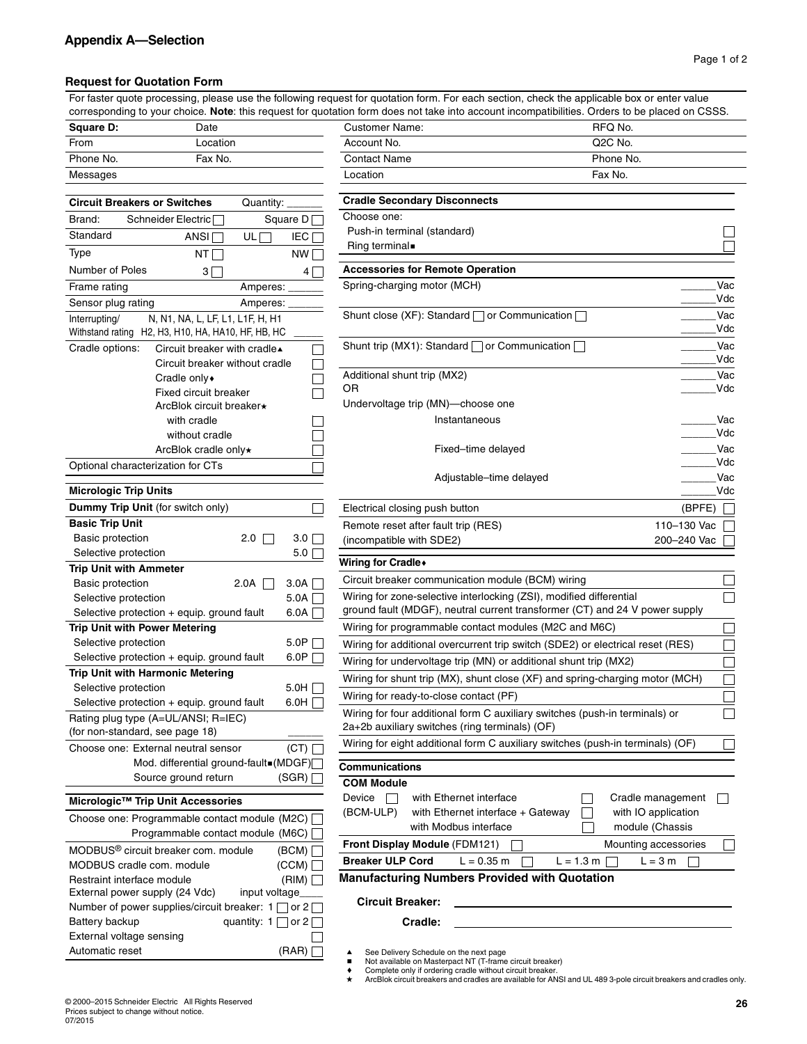## **Request for Quotation Form**

For faster quote processing, please use the following request for quotation form. For each section, check the applicable box or enter value corresponding to your choice. **Note**: this request for quotation form does not take into account incompatibilities. Orders to be placed on CSSS.

| <b>Square D:</b> | Date     | <b>Customer Name:</b> | RFQ No.              |
|------------------|----------|-----------------------|----------------------|
| From             | _ocation | Account No.           | Q <sub>2</sub> C No. |
| Phone No.        | Fax No.  | <b>Contact Name</b>   | Phone N              |
| Messages         |          | Location              | Fax No.              |

Automatic reset (RAR)

| Messages                                                                       | Location<br>Fax No.                                                                                                                |
|--------------------------------------------------------------------------------|------------------------------------------------------------------------------------------------------------------------------------|
| <b>Circuit Breakers or Switches</b><br>Quantity:                               | <b>Cradle Secondary Disconnects</b>                                                                                                |
|                                                                                | Choose one:                                                                                                                        |
| Brand:<br>Schneider Electric<br>Square D <sub>I</sub><br>Standard              | Push-in terminal (standard)                                                                                                        |
| ANSI <sup>T</sup><br>$UL$ $\Box$<br><b>IEC</b>                                 | Ring terminal.                                                                                                                     |
| Type<br>NT<br>NW                                                               |                                                                                                                                    |
| Number of Poles<br>$3\Box$<br>$\overline{4}$                                   | <b>Accessories for Remote Operation</b>                                                                                            |
| Frame rating<br>Amperes:                                                       | Spring-charging motor (MCH)<br>Vac                                                                                                 |
| Sensor plug rating<br>Amperes:                                                 | Vdc                                                                                                                                |
| N, N1, NA, L, LF, L1, L1F, H, H1<br>Interrupting/                              | Shunt close (XF): Standard $\Box$ or Communication $\Box$<br>Vac                                                                   |
| Withstand rating H2, H3, H10, HA, HA10, HF, HB, HC                             | Vdc                                                                                                                                |
| Cradle options:<br>Circuit breaker with cradle▲                                | Vac<br>Shunt trip (MX1): Standard $\Box$ or Communication $\Box$                                                                   |
| Circuit breaker without cradle                                                 | Vdc                                                                                                                                |
| Cradle only •                                                                  | Vac<br>Additional shunt trip (MX2)                                                                                                 |
| Fixed circuit breaker                                                          | Vdc<br>OR                                                                                                                          |
| ArcBlok circuit breaker*                                                       | Undervoltage trip (MN)-choose one                                                                                                  |
| with cradle                                                                    | Vac<br>Instantaneous                                                                                                               |
| without cradle                                                                 | Vdc                                                                                                                                |
| ArcBlok cradle only*                                                           | Fixed-time delayed<br>Vac<br>Vdc                                                                                                   |
| Optional characterization for CTs                                              | Vac                                                                                                                                |
| <b>Micrologic Trip Units</b>                                                   | Adjustable-time delayed<br>Vdc                                                                                                     |
| Dummy Trip Unit (for switch only)                                              | (BPFE)<br>Electrical closing push button                                                                                           |
| <b>Basic Trip Unit</b>                                                         | Remote reset after fault trip (RES)<br>110-130 Vac                                                                                 |
| <b>Basic protection</b><br>$2.0$ $\Box$<br>3.0                                 | (incompatible with SDE2)<br>200-240 Vac                                                                                            |
| Selective protection<br>$5.0\Gamma$                                            | Wiring for Cradle+                                                                                                                 |
| <b>Trip Unit with Ammeter</b>                                                  | Circuit breaker communication module (BCM) wiring                                                                                  |
| <b>Basic protection</b><br>2.0A<br>3.0A<br>$5.0A \Box$<br>Selective protection | Г<br>Wiring for zone-selective interlocking (ZSI), modified differential                                                           |
| 6.0A<br>Selective protection + equip. ground fault                             | ground fault (MDGF), neutral current transformer (CT) and 24 V power supply                                                        |
| <b>Trip Unit with Power Metering</b>                                           | Wiring for programmable contact modules (M2C and M6C)<br>$\Box$                                                                    |
| Selective protection<br>5.0P                                                   | $\Box$<br>Wiring for additional overcurrent trip switch (SDE2) or electrical reset (RES)                                           |
| 6.0P<br>Selective protection + equip. ground fault                             | $\Box$<br>Wiring for undervoltage trip (MN) or additional shunt trip (MX2)                                                         |
| Trip Unit with Harmonic Metering                                               | $\Box$<br>Wiring for shunt trip (MX), shunt close (XF) and spring-charging motor (MCH)                                             |
| Selective protection<br>5.0H 「                                                 | $\Box$<br>Wiring for ready-to-close contact (PF)                                                                                   |
| 6.0H<br>Selective protection + equip. ground fault                             |                                                                                                                                    |
| Rating plug type (A=UL/ANSI; R=IEC)<br>(for non-standard, see page 18)         | Wiring for four additional form C auxiliary switches (push-in terminals) or<br>Г<br>2a+2b auxiliary switches (ring terminals) (OF) |
| (CT)<br>Choose one: External neutral sensor                                    | Wiring for eight additional form C auxiliary switches (push-in terminals) (OF)                                                     |
|                                                                                |                                                                                                                                    |
| Mod. differential ground-fault■(MDGF) <br>Source ground return<br>(SGR)        | Communications                                                                                                                     |
|                                                                                | <b>COM Module</b>                                                                                                                  |
| Micrologic™ Trip Unit Accessories                                              | Device<br>Cradle management<br>$\Box$<br>with Ethernet interface<br>$\sim$                                                         |
| Choose one: Programmable contact module (M2C) [                                | (BCM-ULP)<br>with Ethernet interface + Gateway<br>with IO application                                                              |
| Programmable contact module (M6C)                                              | with Modbus interface<br>module (Chassis                                                                                           |
| MODBUS <sup>®</sup> circuit breaker com. module<br>(BCM)                       | Front Display Module (FDM121)<br>Mounting accessories<br>$\Box$                                                                    |
| MODBUS cradle com. module<br>(CCM)                                             | <b>Breaker ULP Cord</b><br>$L = 1.3 m$<br>$L = 3 m$<br>$L = 0.35$ m                                                                |
| Restraint interface module<br>(RIM)                                            | <b>Manufacturing Numbers Provided with Quotation</b>                                                                               |
| External power supply (24 Vdc)<br>input voltage_                               | <b>Circuit Breaker:</b>                                                                                                            |
| Number of power supplies/circuit breaker: 1 $\Box$ or 2 $\Box$                 |                                                                                                                                    |
| Battery backup<br>quantity: $1 \cap$ or $2 \cap$                               | Cradle:                                                                                                                            |
| $T$ wławnal s                                                                  |                                                                                                                                    |

- See Delivery Schedule on the next page
- Not available on Masterpact NT (T-frame circuit breaker)
- c Complete only if ordering cradle without circuit breaker.

ArcBlok circuit breakers and cradles are available for ANSI and UL 489 3-pole circuit breakers and cradles only.

External voltage sensing